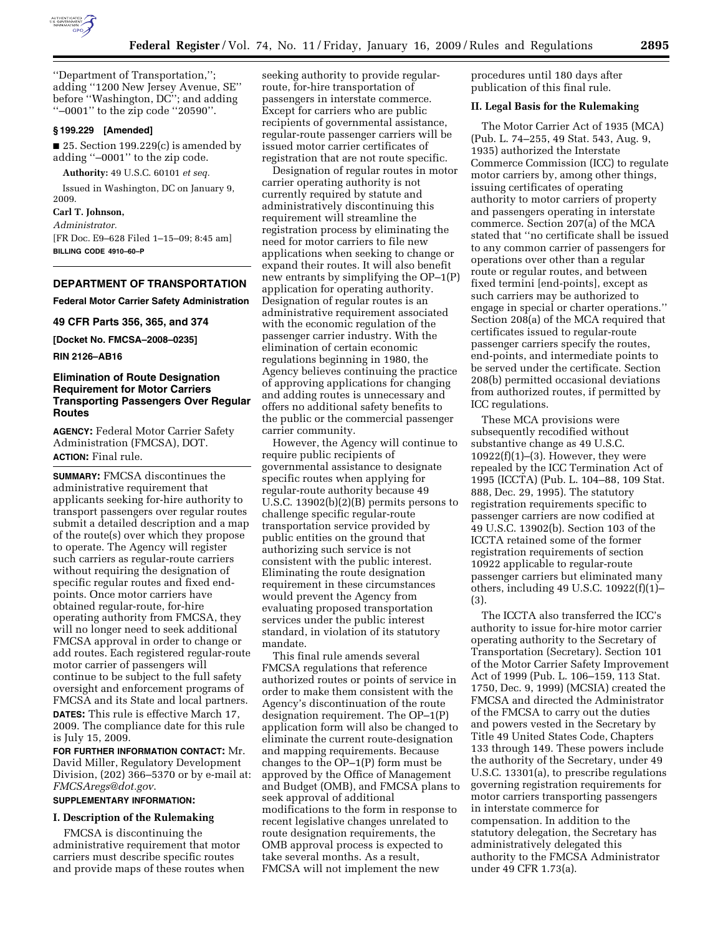

''Department of Transportation,''; adding ''1200 New Jersey Avenue, SE'' before ''Washington, DC''; and adding ''–0001'' to the zip code ''20590''.

### **§ 199.229 [Amended]**

■ 25. Section 199.229 $(c)$  is amended by adding ''–0001'' to the zip code.

**Authority:** 49 U.S.C. 60101 *et seq.* 

Issued in Washington, DC on January 9, 2009.

**Carl T. Johnson,** 

*Administrator.*  [FR Doc. E9–628 Filed 1–15–09; 8:45 am] **BILLING CODE 4910–60–P** 

### **DEPARTMENT OF TRANSPORTATION**

**Federal Motor Carrier Safety Administration** 

**49 CFR Parts 356, 365, and 374** 

**[Docket No. FMCSA–2008–0235]** 

**RIN 2126–AB16** 

## **Elimination of Route Designation Requirement for Motor Carriers Transporting Passengers Over Regular Routes**

**AGENCY:** Federal Motor Carrier Safety Administration (FMCSA), DOT. **ACTION:** Final rule.

**SUMMARY:** FMCSA discontinues the administrative requirement that applicants seeking for-hire authority to transport passengers over regular routes submit a detailed description and a map of the route(s) over which they propose to operate. The Agency will register such carriers as regular-route carriers without requiring the designation of specific regular routes and fixed endpoints. Once motor carriers have obtained regular-route, for-hire operating authority from FMCSA, they will no longer need to seek additional FMCSA approval in order to change or add routes. Each registered regular-route motor carrier of passengers will continue to be subject to the full safety oversight and enforcement programs of FMCSA and its State and local partners. **DATES:** This rule is effective March 17, 2009. The compliance date for this rule is July 15, 2009.

**FOR FURTHER INFORMATION CONTACT:** Mr. David Miller, Regulatory Development Division, (202) 366–5370 or by e-mail at: *FMCSAregs@dot.gov*.

# **SUPPLEMENTARY INFORMATION:**

## **I. Description of the Rulemaking**

FMCSA is discontinuing the administrative requirement that motor carriers must describe specific routes and provide maps of these routes when seeking authority to provide regularroute, for-hire transportation of passengers in interstate commerce. Except for carriers who are public recipients of governmental assistance, regular-route passenger carriers will be issued motor carrier certificates of registration that are not route specific.

Designation of regular routes in motor carrier operating authority is not currently required by statute and administratively discontinuing this requirement will streamline the registration process by eliminating the need for motor carriers to file new applications when seeking to change or expand their routes. It will also benefit new entrants by simplifying the OP–1(P) application for operating authority. Designation of regular routes is an administrative requirement associated with the economic regulation of the passenger carrier industry. With the elimination of certain economic regulations beginning in 1980, the Agency believes continuing the practice of approving applications for changing and adding routes is unnecessary and offers no additional safety benefits to the public or the commercial passenger carrier community.

However, the Agency will continue to require public recipients of governmental assistance to designate specific routes when applying for regular-route authority because 49 U.S.C. 13902(b)(2)(B) permits persons to challenge specific regular-route transportation service provided by public entities on the ground that authorizing such service is not consistent with the public interest. Eliminating the route designation requirement in these circumstances would prevent the Agency from evaluating proposed transportation services under the public interest standard, in violation of its statutory mandate.

This final rule amends several FMCSA regulations that reference authorized routes or points of service in order to make them consistent with the Agency's discontinuation of the route designation requirement. The OP–1(P) application form will also be changed to eliminate the current route-designation and mapping requirements. Because changes to the OP–1(P) form must be approved by the Office of Management and Budget (OMB), and FMCSA plans to seek approval of additional modifications to the form in response to recent legislative changes unrelated to route designation requirements, the OMB approval process is expected to take several months. As a result, FMCSA will not implement the new

procedures until 180 days after publication of this final rule.

### **II. Legal Basis for the Rulemaking**

The Motor Carrier Act of 1935 (MCA) (Pub. L. 74–255, 49 Stat. 543, Aug. 9, 1935) authorized the Interstate Commerce Commission (ICC) to regulate motor carriers by, among other things, issuing certificates of operating authority to motor carriers of property and passengers operating in interstate commerce. Section 207(a) of the MCA stated that ''no certificate shall be issued to any common carrier of passengers for operations over other than a regular route or regular routes, and between fixed termini [end-points], except as such carriers may be authorized to engage in special or charter operations.'' Section 208(a) of the MCA required that certificates issued to regular-route passenger carriers specify the routes, end-points, and intermediate points to be served under the certificate. Section 208(b) permitted occasional deviations from authorized routes, if permitted by ICC regulations.

These MCA provisions were subsequently recodified without substantive change as 49 U.S.C.  $10922(f)(1)–(3)$ . However, they were repealed by the ICC Termination Act of 1995 (ICCTA) (Pub. L. 104–88, 109 Stat. 888, Dec. 29, 1995). The statutory registration requirements specific to passenger carriers are now codified at 49 U.S.C. 13902(b). Section 103 of the ICCTA retained some of the former registration requirements of section 10922 applicable to regular-route passenger carriers but eliminated many others, including 49 U.S.C. 10922(f)(1)– (3).

The ICCTA also transferred the ICC's authority to issue for-hire motor carrier operating authority to the Secretary of Transportation (Secretary). Section 101 of the Motor Carrier Safety Improvement Act of 1999 (Pub. L. 106–159, 113 Stat. 1750, Dec. 9, 1999) (MCSIA) created the FMCSA and directed the Administrator of the FMCSA to carry out the duties and powers vested in the Secretary by Title 49 United States Code, Chapters 133 through 149. These powers include the authority of the Secretary, under 49 U.S.C. 13301(a), to prescribe regulations governing registration requirements for motor carriers transporting passengers in interstate commerce for compensation. In addition to the statutory delegation, the Secretary has administratively delegated this authority to the FMCSA Administrator under 49 CFR 1.73(a).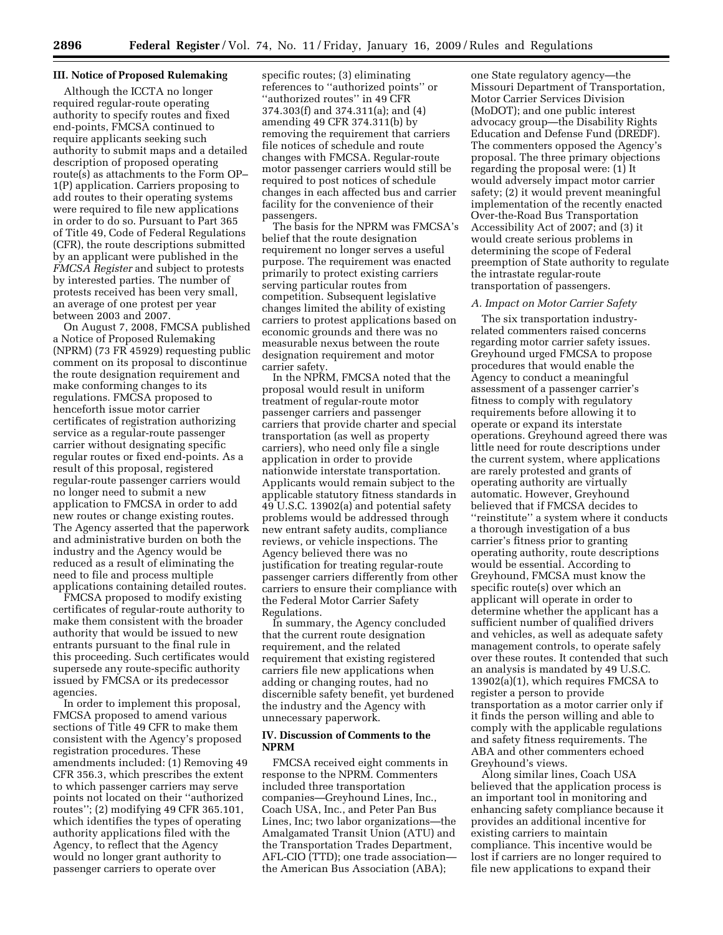### **III. Notice of Proposed Rulemaking**

Although the ICCTA no longer required regular-route operating authority to specify routes and fixed end-points, FMCSA continued to require applicants seeking such authority to submit maps and a detailed description of proposed operating route(s) as attachments to the Form OP– 1(P) application. Carriers proposing to add routes to their operating systems were required to file new applications in order to do so. Pursuant to Part 365 of Title 49, Code of Federal Regulations (CFR), the route descriptions submitted by an applicant were published in the *FMCSA Register* and subject to protests by interested parties. The number of protests received has been very small, an average of one protest per year between 2003 and 2007.

On August 7, 2008, FMCSA published a Notice of Proposed Rulemaking (NPRM) (73 FR 45929) requesting public comment on its proposal to discontinue the route designation requirement and make conforming changes to its regulations. FMCSA proposed to henceforth issue motor carrier certificates of registration authorizing service as a regular-route passenger carrier without designating specific regular routes or fixed end-points. As a result of this proposal, registered regular-route passenger carriers would no longer need to submit a new application to FMCSA in order to add new routes or change existing routes. The Agency asserted that the paperwork and administrative burden on both the industry and the Agency would be reduced as a result of eliminating the need to file and process multiple applications containing detailed routes.

FMCSA proposed to modify existing certificates of regular-route authority to make them consistent with the broader authority that would be issued to new entrants pursuant to the final rule in this proceeding. Such certificates would supersede any route-specific authority issued by FMCSA or its predecessor agencies.

In order to implement this proposal, FMCSA proposed to amend various sections of Title 49 CFR to make them consistent with the Agency's proposed registration procedures. These amendments included: (1) Removing 49 CFR 356.3, which prescribes the extent to which passenger carriers may serve points not located on their ''authorized routes''; (2) modifying 49 CFR 365.101, which identifies the types of operating authority applications filed with the Agency, to reflect that the Agency would no longer grant authority to passenger carriers to operate over

specific routes; (3) eliminating references to ''authorized points'' or ''authorized routes'' in 49 CFR 374.303(f) and 374.311(a); and (4) amending 49 CFR 374.311(b) by removing the requirement that carriers file notices of schedule and route changes with FMCSA. Regular-route motor passenger carriers would still be required to post notices of schedule changes in each affected bus and carrier facility for the convenience of their passengers.

The basis for the NPRM was FMCSA's belief that the route designation requirement no longer serves a useful purpose. The requirement was enacted primarily to protect existing carriers serving particular routes from competition. Subsequent legislative changes limited the ability of existing carriers to protest applications based on economic grounds and there was no measurable nexus between the route designation requirement and motor carrier safety.

In the NPRM, FMCSA noted that the proposal would result in uniform treatment of regular-route motor passenger carriers and passenger carriers that provide charter and special transportation (as well as property carriers), who need only file a single application in order to provide nationwide interstate transportation. Applicants would remain subject to the applicable statutory fitness standards in 49 U.S.C. 13902(a) and potential safety problems would be addressed through new entrant safety audits, compliance reviews, or vehicle inspections. The Agency believed there was no justification for treating regular-route passenger carriers differently from other carriers to ensure their compliance with the Federal Motor Carrier Safety Regulations.

In summary, the Agency concluded that the current route designation requirement, and the related requirement that existing registered carriers file new applications when adding or changing routes, had no discernible safety benefit, yet burdened the industry and the Agency with unnecessary paperwork.

## **IV. Discussion of Comments to the NPRM**

FMCSA received eight comments in response to the NPRM. Commenters included three transportation companies—Greyhound Lines, Inc., Coach USA, Inc., and Peter Pan Bus Lines, Inc; two labor organizations—the Amalgamated Transit Union (ATU) and the Transportation Trades Department, AFL-CIO (TTD); one trade association the American Bus Association (ABA);

one State regulatory agency—the Missouri Department of Transportation, Motor Carrier Services Division (MoDOT); and one public interest advocacy group—the Disability Rights Education and Defense Fund (DREDF). The commenters opposed the Agency's proposal. The three primary objections regarding the proposal were: (1) It would adversely impact motor carrier safety; (2) it would prevent meaningful implementation of the recently enacted Over-the-Road Bus Transportation Accessibility Act of 2007; and (3) it would create serious problems in determining the scope of Federal preemption of State authority to regulate the intrastate regular-route transportation of passengers.

#### *A. Impact on Motor Carrier Safety*

The six transportation industryrelated commenters raised concerns regarding motor carrier safety issues. Greyhound urged FMCSA to propose procedures that would enable the Agency to conduct a meaningful assessment of a passenger carrier's fitness to comply with regulatory requirements before allowing it to operate or expand its interstate operations. Greyhound agreed there was little need for route descriptions under the current system, where applications are rarely protested and grants of operating authority are virtually automatic. However, Greyhound believed that if FMCSA decides to ''reinstitute'' a system where it conducts a thorough investigation of a bus carrier's fitness prior to granting operating authority, route descriptions would be essential. According to Greyhound, FMCSA must know the specific route(s) over which an applicant will operate in order to determine whether the applicant has a sufficient number of qualified drivers and vehicles, as well as adequate safety management controls, to operate safely over these routes. It contended that such an analysis is mandated by 49 U.S.C. 13902(a)(1), which requires FMCSA to register a person to provide transportation as a motor carrier only if it finds the person willing and able to comply with the applicable regulations and safety fitness requirements. The ABA and other commenters echoed Greyhound's views.

Along similar lines, Coach USA believed that the application process is an important tool in monitoring and enhancing safety compliance because it provides an additional incentive for existing carriers to maintain compliance. This incentive would be lost if carriers are no longer required to file new applications to expand their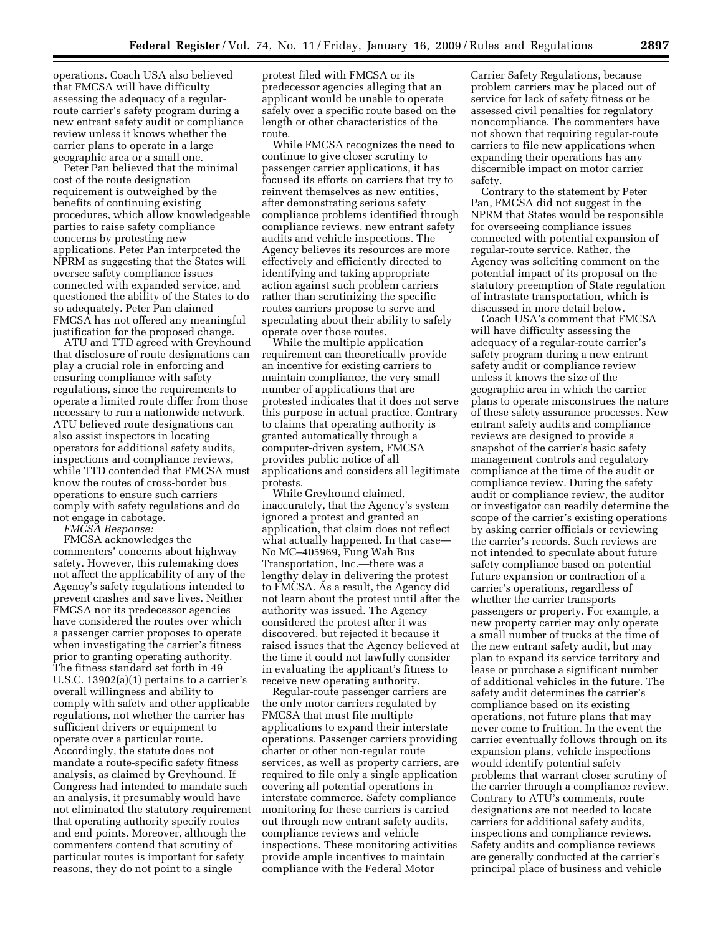operations. Coach USA also believed that FMCSA will have difficulty assessing the adequacy of a regularroute carrier's safety program during a new entrant safety audit or compliance review unless it knows whether the carrier plans to operate in a large geographic area or a small one.

Peter Pan believed that the minimal cost of the route designation requirement is outweighed by the benefits of continuing existing procedures, which allow knowledgeable parties to raise safety compliance concerns by protesting new applications. Peter Pan interpreted the NPRM as suggesting that the States will oversee safety compliance issues connected with expanded service, and questioned the ability of the States to do so adequately. Peter Pan claimed FMCSA has not offered any meaningful justification for the proposed change.

ATU and TTD agreed with Greyhound that disclosure of route designations can play a crucial role in enforcing and ensuring compliance with safety regulations, since the requirements to operate a limited route differ from those necessary to run a nationwide network. ATU believed route designations can also assist inspectors in locating operators for additional safety audits, inspections and compliance reviews, while TTD contended that FMCSA must know the routes of cross-border bus operations to ensure such carriers comply with safety regulations and do not engage in cabotage.

*FMCSA Response:* 

FMCSA acknowledges the commenters' concerns about highway safety. However, this rulemaking does not affect the applicability of any of the Agency's safety regulations intended to prevent crashes and save lives. Neither FMCSA nor its predecessor agencies have considered the routes over which a passenger carrier proposes to operate when investigating the carrier's fitness prior to granting operating authority. The fitness standard set forth in 49 U.S.C. 13902(a)(1) pertains to a carrier's overall willingness and ability to comply with safety and other applicable regulations, not whether the carrier has sufficient drivers or equipment to operate over a particular route. Accordingly, the statute does not mandate a route-specific safety fitness analysis, as claimed by Greyhound. If Congress had intended to mandate such an analysis, it presumably would have not eliminated the statutory requirement that operating authority specify routes and end points. Moreover, although the commenters contend that scrutiny of particular routes is important for safety reasons, they do not point to a single

protest filed with FMCSA or its predecessor agencies alleging that an applicant would be unable to operate safely over a specific route based on the length or other characteristics of the route.

While FMCSA recognizes the need to continue to give closer scrutiny to passenger carrier applications, it has focused its efforts on carriers that try to reinvent themselves as new entities, after demonstrating serious safety compliance problems identified through compliance reviews, new entrant safety audits and vehicle inspections. The Agency believes its resources are more effectively and efficiently directed to identifying and taking appropriate action against such problem carriers rather than scrutinizing the specific routes carriers propose to serve and speculating about their ability to safely operate over those routes.

While the multiple application requirement can theoretically provide an incentive for existing carriers to maintain compliance, the very small number of applications that are protested indicates that it does not serve this purpose in actual practice. Contrary to claims that operating authority is granted automatically through a computer-driven system, FMCSA provides public notice of all applications and considers all legitimate protests.

While Greyhound claimed, inaccurately, that the Agency's system ignored a protest and granted an application, that claim does not reflect what actually happened. In that case— No MC–405969, Fung Wah Bus Transportation, Inc.—there was a lengthy delay in delivering the protest to FMCSA. As a result, the Agency did not learn about the protest until after the authority was issued. The Agency considered the protest after it was discovered, but rejected it because it raised issues that the Agency believed at the time it could not lawfully consider in evaluating the applicant's fitness to receive new operating authority.

Regular-route passenger carriers are the only motor carriers regulated by FMCSA that must file multiple applications to expand their interstate operations. Passenger carriers providing charter or other non-regular route services, as well as property carriers, are required to file only a single application covering all potential operations in interstate commerce. Safety compliance monitoring for these carriers is carried out through new entrant safety audits, compliance reviews and vehicle inspections. These monitoring activities provide ample incentives to maintain compliance with the Federal Motor

Carrier Safety Regulations, because problem carriers may be placed out of service for lack of safety fitness or be assessed civil penalties for regulatory noncompliance. The commenters have not shown that requiring regular-route carriers to file new applications when expanding their operations has any discernible impact on motor carrier safety.

Contrary to the statement by Peter Pan, FMCSA did not suggest in the NPRM that States would be responsible for overseeing compliance issues connected with potential expansion of regular-route service. Rather, the Agency was soliciting comment on the potential impact of its proposal on the statutory preemption of State regulation of intrastate transportation, which is discussed in more detail below.

Coach USA's comment that FMCSA will have difficulty assessing the adequacy of a regular-route carrier's safety program during a new entrant safety audit or compliance review unless it knows the size of the geographic area in which the carrier plans to operate misconstrues the nature of these safety assurance processes. New entrant safety audits and compliance reviews are designed to provide a snapshot of the carrier's basic safety management controls and regulatory compliance at the time of the audit or compliance review. During the safety audit or compliance review, the auditor or investigator can readily determine the scope of the carrier's existing operations by asking carrier officials or reviewing the carrier's records. Such reviews are not intended to speculate about future safety compliance based on potential future expansion or contraction of a carrier's operations, regardless of whether the carrier transports passengers or property. For example, a new property carrier may only operate a small number of trucks at the time of the new entrant safety audit, but may plan to expand its service territory and lease or purchase a significant number of additional vehicles in the future. The safety audit determines the carrier's compliance based on its existing operations, not future plans that may never come to fruition. In the event the carrier eventually follows through on its expansion plans, vehicle inspections would identify potential safety problems that warrant closer scrutiny of the carrier through a compliance review. Contrary to ATU's comments, route designations are not needed to locate carriers for additional safety audits, inspections and compliance reviews. Safety audits and compliance reviews are generally conducted at the carrier's principal place of business and vehicle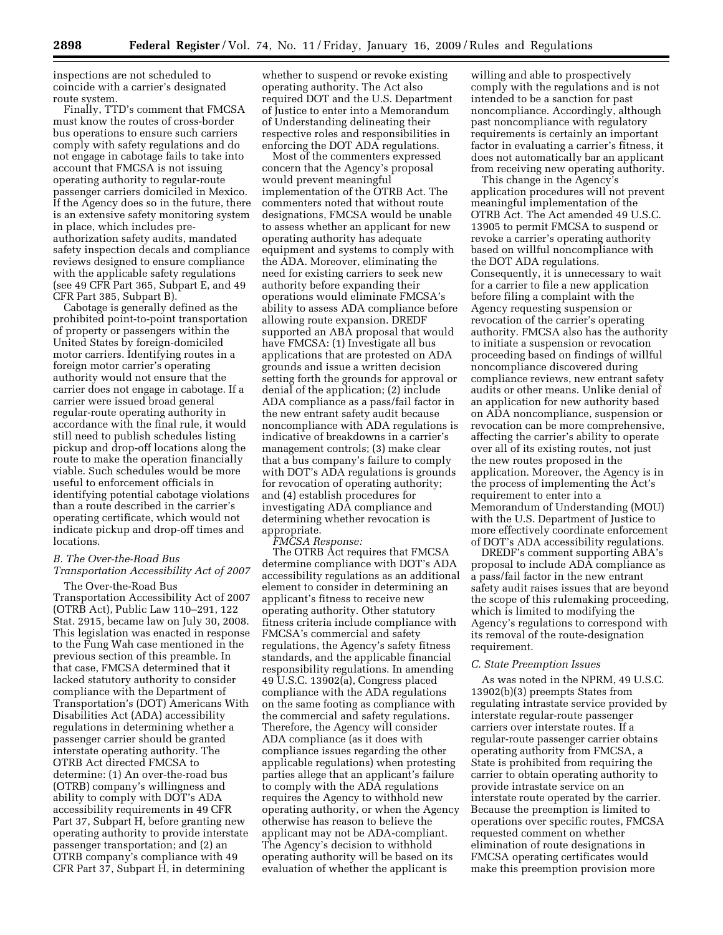inspections are not scheduled to coincide with a carrier's designated route system.

Finally, TTD's comment that FMCSA must know the routes of cross-border bus operations to ensure such carriers comply with safety regulations and do not engage in cabotage fails to take into account that FMCSA is not issuing operating authority to regular-route passenger carriers domiciled in Mexico. If the Agency does so in the future, there is an extensive safety monitoring system in place, which includes preauthorization safety audits, mandated safety inspection decals and compliance reviews designed to ensure compliance with the applicable safety regulations (see 49 CFR Part 365, Subpart E, and 49 CFR Part 385, Subpart B).

Cabotage is generally defined as the prohibited point-to-point transportation of property or passengers within the United States by foreign-domiciled motor carriers. Identifying routes in a foreign motor carrier's operating authority would not ensure that the carrier does not engage in cabotage. If a carrier were issued broad general regular-route operating authority in accordance with the final rule, it would still need to publish schedules listing pickup and drop-off locations along the route to make the operation financially viable. Such schedules would be more useful to enforcement officials in identifying potential cabotage violations than a route described in the carrier's operating certificate, which would not indicate pickup and drop-off times and locations.

# *B. The Over-the-Road Bus Transportation Accessibility Act of 2007*

The Over-the-Road Bus Transportation Accessibility Act of 2007 (OTRB Act), Public Law 110–291, 122 Stat. 2915, became law on July 30, 2008. This legislation was enacted in response to the Fung Wah case mentioned in the previous section of this preamble. In that case, FMCSA determined that it lacked statutory authority to consider compliance with the Department of Transportation's (DOT) Americans With Disabilities Act (ADA) accessibility regulations in determining whether a passenger carrier should be granted interstate operating authority. The OTRB Act directed FMCSA to determine: (1) An over-the-road bus (OTRB) company's willingness and ability to comply with DOT's ADA accessibility requirements in 49 CFR Part 37, Subpart H, before granting new operating authority to provide interstate passenger transportation; and (2) an OTRB company's compliance with 49 CFR Part 37, Subpart H, in determining

whether to suspend or revoke existing operating authority. The Act also required DOT and the U.S. Department of Justice to enter into a Memorandum of Understanding delineating their respective roles and responsibilities in enforcing the DOT ADA regulations.

Most of the commenters expressed concern that the Agency's proposal would prevent meaningful implementation of the OTRB Act. The commenters noted that without route designations, FMCSA would be unable to assess whether an applicant for new operating authority has adequate equipment and systems to comply with the ADA. Moreover, eliminating the need for existing carriers to seek new authority before expanding their operations would eliminate FMCSA's ability to assess ADA compliance before allowing route expansion. DREDF supported an ABA proposal that would have FMCSA: (1) Investigate all bus applications that are protested on ADA grounds and issue a written decision setting forth the grounds for approval or denial of the application; (2) include ADA compliance as a pass/fail factor in the new entrant safety audit because noncompliance with ADA regulations is indicative of breakdowns in a carrier's management controls; (3) make clear that a bus company's failure to comply with DOT's ADA regulations is grounds for revocation of operating authority; and (4) establish procedures for investigating ADA compliance and determining whether revocation is appropriate.

*FMCSA Response:* 

The OTRB Act requires that FMCSA determine compliance with DOT's ADA accessibility regulations as an additional element to consider in determining an applicant's fitness to receive new operating authority. Other statutory fitness criteria include compliance with FMCSA's commercial and safety regulations, the Agency's safety fitness standards, and the applicable financial responsibility regulations. In amending 49 U.S.C. 13902(a), Congress placed compliance with the ADA regulations on the same footing as compliance with the commercial and safety regulations. Therefore, the Agency will consider ADA compliance (as it does with compliance issues regarding the other applicable regulations) when protesting parties allege that an applicant's failure to comply with the ADA regulations requires the Agency to withhold new operating authority, or when the Agency otherwise has reason to believe the applicant may not be ADA-compliant. The Agency's decision to withhold operating authority will be based on its evaluation of whether the applicant is

willing and able to prospectively comply with the regulations and is not intended to be a sanction for past noncompliance. Accordingly, although past noncompliance with regulatory requirements is certainly an important factor in evaluating a carrier's fitness, it does not automatically bar an applicant from receiving new operating authority.

This change in the Agency's application procedures will not prevent meaningful implementation of the OTRB Act. The Act amended 49 U.S.C. 13905 to permit FMCSA to suspend or revoke a carrier's operating authority based on willful noncompliance with the DOT ADA regulations. Consequently, it is unnecessary to wait for a carrier to file a new application before filing a complaint with the Agency requesting suspension or revocation of the carrier's operating authority. FMCSA also has the authority to initiate a suspension or revocation proceeding based on findings of willful noncompliance discovered during compliance reviews, new entrant safety audits or other means. Unlike denial of an application for new authority based on ADA noncompliance, suspension or revocation can be more comprehensive, affecting the carrier's ability to operate over all of its existing routes, not just the new routes proposed in the application. Moreover, the Agency is in the process of implementing the Act's requirement to enter into a Memorandum of Understanding (MOU) with the U.S. Department of Justice to more effectively coordinate enforcement of DOT's ADA accessibility regulations.

DREDF's comment supporting ABA's proposal to include ADA compliance as a pass/fail factor in the new entrant safety audit raises issues that are beyond the scope of this rulemaking proceeding, which is limited to modifying the Agency's regulations to correspond with its removal of the route-designation requirement.

### *C. State Preemption Issues*

As was noted in the NPRM, 49 U.S.C. 13902(b)(3) preempts States from regulating intrastate service provided by interstate regular-route passenger carriers over interstate routes. If a regular-route passenger carrier obtains operating authority from FMCSA, a State is prohibited from requiring the carrier to obtain operating authority to provide intrastate service on an interstate route operated by the carrier. Because the preemption is limited to operations over specific routes, FMCSA requested comment on whether elimination of route designations in FMCSA operating certificates would make this preemption provision more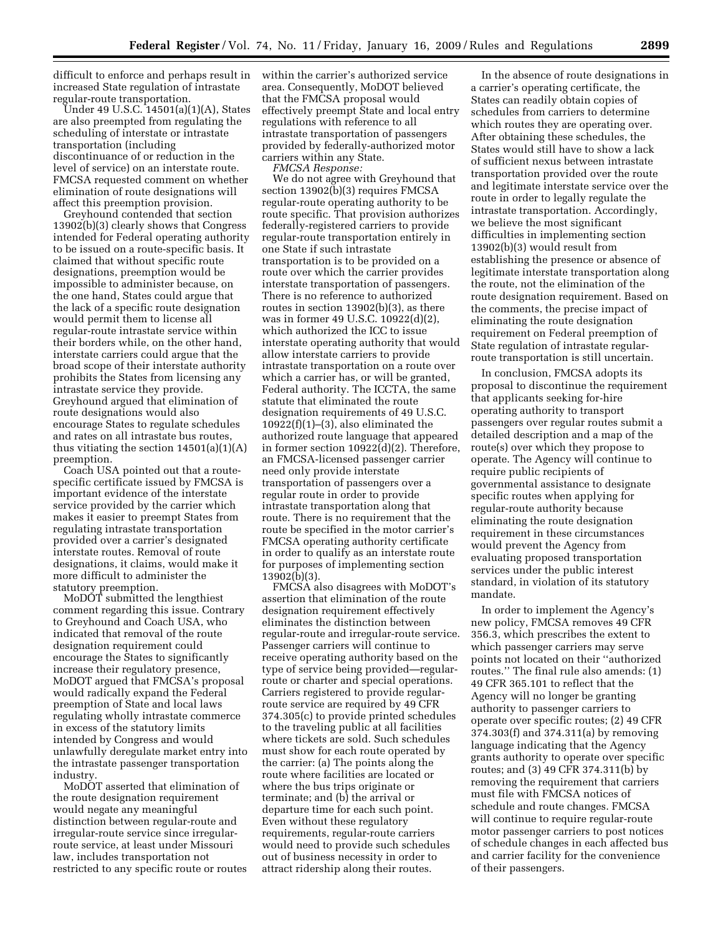difficult to enforce and perhaps result in increased State regulation of intrastate regular-route transportation.

Under 49 U.S.C. 14501(a)(1)(A), States are also preempted from regulating the scheduling of interstate or intrastate transportation (including discontinuance of or reduction in the level of service) on an interstate route. FMCSA requested comment on whether elimination of route designations will affect this preemption provision.

Greyhound contended that section 13902(b)(3) clearly shows that Congress intended for Federal operating authority to be issued on a route-specific basis. It claimed that without specific route designations, preemption would be impossible to administer because, on the one hand, States could argue that the lack of a specific route designation would permit them to license all regular-route intrastate service within their borders while, on the other hand, interstate carriers could argue that the broad scope of their interstate authority prohibits the States from licensing any intrastate service they provide. Greyhound argued that elimination of route designations would also encourage States to regulate schedules and rates on all intrastate bus routes, thus vitiating the section  $14501(a)(1)(A)$ preemption.

Coach USA pointed out that a routespecific certificate issued by FMCSA is important evidence of the interstate service provided by the carrier which makes it easier to preempt States from regulating intrastate transportation provided over a carrier's designated interstate routes. Removal of route designations, it claims, would make it more difficult to administer the statutory preemption.

MoDOT submitted the lengthiest comment regarding this issue. Contrary to Greyhound and Coach USA, who indicated that removal of the route designation requirement could encourage the States to significantly increase their regulatory presence, MoDOT argued that FMCSA's proposal would radically expand the Federal preemption of State and local laws regulating wholly intrastate commerce in excess of the statutory limits intended by Congress and would unlawfully deregulate market entry into the intrastate passenger transportation industry.

MoDOT asserted that elimination of the route designation requirement would negate any meaningful distinction between regular-route and irregular-route service since irregularroute service, at least under Missouri law, includes transportation not restricted to any specific route or routes within the carrier's authorized service area. Consequently, MoDOT believed that the FMCSA proposal would effectively preempt State and local entry regulations with reference to all intrastate transportation of passengers provided by federally-authorized motor carriers within any State.

*FMCSA Response:*  We do not agree with Greyhound that section 13902(b)(3) requires FMCSA regular-route operating authority to be route specific. That provision authorizes federally-registered carriers to provide regular-route transportation entirely in one State if such intrastate transportation is to be provided on a route over which the carrier provides interstate transportation of passengers. There is no reference to authorized routes in section 13902(b)(3), as there was in former 49 U.S.C. 10922(d)(2), which authorized the ICC to issue interstate operating authority that would allow interstate carriers to provide intrastate transportation on a route over which a carrier has, or will be granted, Federal authority. The ICCTA, the same statute that eliminated the route designation requirements of 49 U.S.C.  $10922(f)(1)–(3)$ , also eliminated the authorized route language that appeared in former section 10922(d)(2). Therefore, an FMCSA-licensed passenger carrier need only provide interstate transportation of passengers over a regular route in order to provide intrastate transportation along that route. There is no requirement that the route be specified in the motor carrier's FMCSA operating authority certificate in order to qualify as an interstate route for purposes of implementing section 13902(b)(3).

FMCSA also disagrees with MoDOT's assertion that elimination of the route designation requirement effectively eliminates the distinction between regular-route and irregular-route service. Passenger carriers will continue to receive operating authority based on the type of service being provided—regularroute or charter and special operations. Carriers registered to provide regularroute service are required by 49 CFR 374.305(c) to provide printed schedules to the traveling public at all facilities where tickets are sold. Such schedules must show for each route operated by the carrier: (a) The points along the route where facilities are located or where the bus trips originate or terminate; and (b) the arrival or departure time for each such point. Even without these regulatory requirements, regular-route carriers would need to provide such schedules out of business necessity in order to attract ridership along their routes.

In the absence of route designations in a carrier's operating certificate, the States can readily obtain copies of schedules from carriers to determine which routes they are operating over. After obtaining these schedules, the States would still have to show a lack of sufficient nexus between intrastate transportation provided over the route and legitimate interstate service over the route in order to legally regulate the intrastate transportation. Accordingly, we believe the most significant difficulties in implementing section 13902(b)(3) would result from establishing the presence or absence of legitimate interstate transportation along the route, not the elimination of the route designation requirement. Based on the comments, the precise impact of eliminating the route designation requirement on Federal preemption of State regulation of intrastate regularroute transportation is still uncertain.

In conclusion, FMCSA adopts its proposal to discontinue the requirement that applicants seeking for-hire operating authority to transport passengers over regular routes submit a detailed description and a map of the route(s) over which they propose to operate. The Agency will continue to require public recipients of governmental assistance to designate specific routes when applying for regular-route authority because eliminating the route designation requirement in these circumstances would prevent the Agency from evaluating proposed transportation services under the public interest standard, in violation of its statutory mandate.

In order to implement the Agency's new policy, FMCSA removes 49 CFR 356.3, which prescribes the extent to which passenger carriers may serve points not located on their ''authorized routes.'' The final rule also amends: (1) 49 CFR 365.101 to reflect that the Agency will no longer be granting authority to passenger carriers to operate over specific routes; (2) 49 CFR 374.303(f) and 374.311(a) by removing language indicating that the Agency grants authority to operate over specific routes; and (3) 49 CFR 374.311(b) by removing the requirement that carriers must file with FMCSA notices of schedule and route changes. FMCSA will continue to require regular-route motor passenger carriers to post notices of schedule changes in each affected bus and carrier facility for the convenience of their passengers.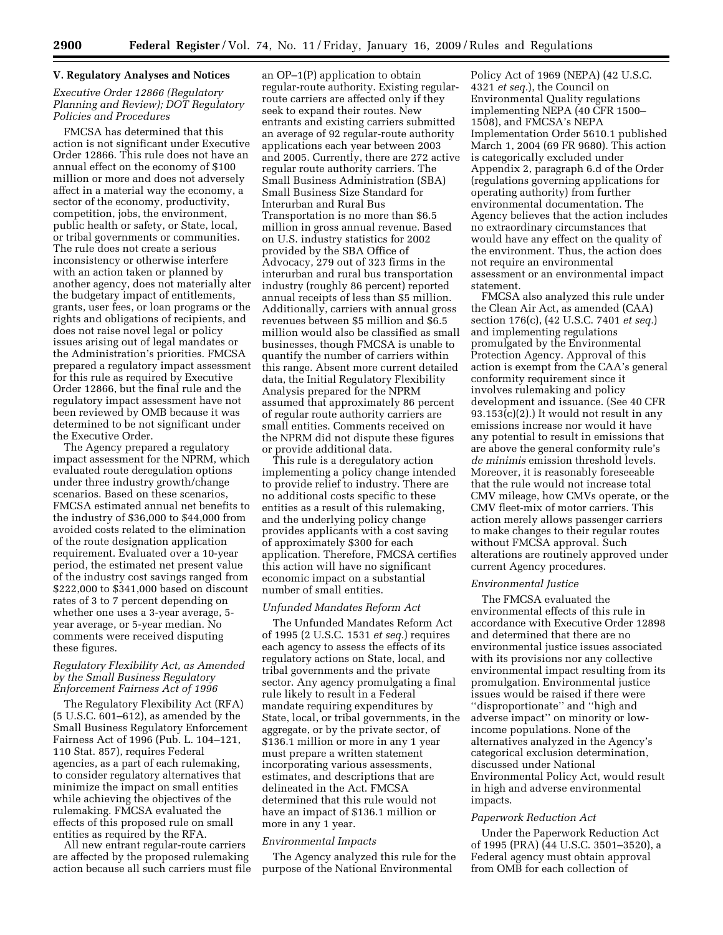### **V. Regulatory Analyses and Notices**

### *Executive Order 12866 (Regulatory Planning and Review); DOT Regulatory Policies and Procedures*

FMCSA has determined that this action is not significant under Executive Order 12866. This rule does not have an annual effect on the economy of \$100 million or more and does not adversely affect in a material way the economy, a sector of the economy, productivity, competition, jobs, the environment, public health or safety, or State, local, or tribal governments or communities. The rule does not create a serious inconsistency or otherwise interfere with an action taken or planned by another agency, does not materially alter the budgetary impact of entitlements, grants, user fees, or loan programs or the rights and obligations of recipients, and does not raise novel legal or policy issues arising out of legal mandates or the Administration's priorities. FMCSA prepared a regulatory impact assessment for this rule as required by Executive Order 12866, but the final rule and the regulatory impact assessment have not been reviewed by OMB because it was determined to be not significant under the Executive Order.

The Agency prepared a regulatory impact assessment for the NPRM, which evaluated route deregulation options under three industry growth/change scenarios. Based on these scenarios, FMCSA estimated annual net benefits to the industry of \$36,000 to \$44,000 from avoided costs related to the elimination of the route designation application requirement. Evaluated over a 10-year period, the estimated net present value of the industry cost savings ranged from \$222,000 to \$341,000 based on discount rates of 3 to 7 percent depending on whether one uses a 3-year average, 5 year average, or 5-year median. No comments were received disputing these figures.

### *Regulatory Flexibility Act, as Amended by the Small Business Regulatory Enforcement Fairness Act of 1996*

The Regulatory Flexibility Act (RFA) (5 U.S.C. 601–612), as amended by the Small Business Regulatory Enforcement Fairness Act of 1996 (Pub. L. 104–121, 110 Stat. 857), requires Federal agencies, as a part of each rulemaking, to consider regulatory alternatives that minimize the impact on small entities while achieving the objectives of the rulemaking. FMCSA evaluated the effects of this proposed rule on small entities as required by the RFA.

All new entrant regular-route carriers are affected by the proposed rulemaking action because all such carriers must file

an OP–1(P) application to obtain regular-route authority. Existing regularroute carriers are affected only if they seek to expand their routes. New entrants and existing carriers submitted an average of 92 regular-route authority applications each year between 2003 and 2005. Currently, there are 272 active regular route authority carriers. The Small Business Administration (SBA) Small Business Size Standard for Interurban and Rural Bus Transportation is no more than \$6.5 million in gross annual revenue. Based on U.S. industry statistics for 2002 provided by the SBA Office of Advocacy, 279 out of 323 firms in the interurban and rural bus transportation industry (roughly 86 percent) reported annual receipts of less than \$5 million. Additionally, carriers with annual gross revenues between \$5 million and \$6.5 million would also be classified as small businesses, though FMCSA is unable to quantify the number of carriers within this range. Absent more current detailed data, the Initial Regulatory Flexibility Analysis prepared for the NPRM assumed that approximately 86 percent of regular route authority carriers are small entities. Comments received on the NPRM did not dispute these figures or provide additional data.

This rule is a deregulatory action implementing a policy change intended to provide relief to industry. There are no additional costs specific to these entities as a result of this rulemaking, and the underlying policy change provides applicants with a cost saving of approximately \$300 for each application. Therefore, FMCSA certifies this action will have no significant economic impact on a substantial number of small entities.

### *Unfunded Mandates Reform Act*

The Unfunded Mandates Reform Act of 1995 (2 U.S.C. 1531 *et seq.*) requires each agency to assess the effects of its regulatory actions on State, local, and tribal governments and the private sector. Any agency promulgating a final rule likely to result in a Federal mandate requiring expenditures by State, local, or tribal governments, in the aggregate, or by the private sector, of \$136.1 million or more in any 1 year must prepare a written statement incorporating various assessments, estimates, and descriptions that are delineated in the Act. FMCSA determined that this rule would not have an impact of \$136.1 million or more in any 1 year.

### *Environmental Impacts*

The Agency analyzed this rule for the purpose of the National Environmental

Policy Act of 1969 (NEPA) (42 U.S.C. 4321 *et seq.*), the Council on Environmental Quality regulations implementing NEPA (40 CFR 1500– 1508), and FMCSA's NEPA Implementation Order 5610.1 published March 1, 2004 (69 FR 9680). This action is categorically excluded under Appendix 2, paragraph 6.d of the Order (regulations governing applications for operating authority) from further environmental documentation. The Agency believes that the action includes no extraordinary circumstances that would have any effect on the quality of the environment. Thus, the action does not require an environmental assessment or an environmental impact statement.

FMCSA also analyzed this rule under the Clean Air Act, as amended (CAA) section 176(c), (42 U.S.C. 7401 *et seq.*) and implementing regulations promulgated by the Environmental Protection Agency. Approval of this action is exempt from the CAA's general conformity requirement since it involves rulemaking and policy development and issuance. (See 40 CFR  $93.153(c)(2)$ .) It would not result in any emissions increase nor would it have any potential to result in emissions that are above the general conformity rule's *de minimis* emission threshold levels. Moreover, it is reasonably foreseeable that the rule would not increase total CMV mileage, how CMVs operate, or the CMV fleet-mix of motor carriers. This action merely allows passenger carriers to make changes to their regular routes without FMCSA approval. Such alterations are routinely approved under current Agency procedures.

### *Environmental Justice*

The FMCSA evaluated the environmental effects of this rule in accordance with Executive Order 12898 and determined that there are no environmental justice issues associated with its provisions nor any collective environmental impact resulting from its promulgation. Environmental justice issues would be raised if there were ''disproportionate'' and ''high and adverse impact'' on minority or lowincome populations. None of the alternatives analyzed in the Agency's categorical exclusion determination, discussed under National Environmental Policy Act, would result in high and adverse environmental impacts.

#### *Paperwork Reduction Act*

Under the Paperwork Reduction Act of 1995 (PRA) (44 U.S.C. 3501–3520), a Federal agency must obtain approval from OMB for each collection of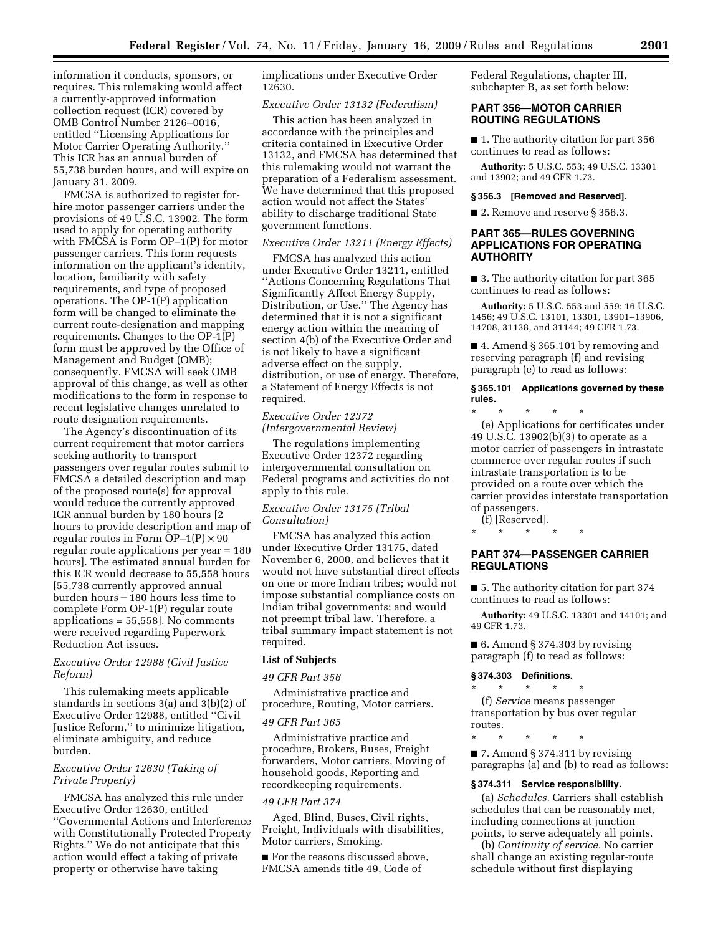information it conducts, sponsors, or requires. This rulemaking would affect a currently-approved information collection request (ICR) covered by OMB Control Number 2126–0016, entitled ''Licensing Applications for Motor Carrier Operating Authority.'' This ICR has an annual burden of 55,738 burden hours, and will expire on January 31, 2009.

FMCSA is authorized to register forhire motor passenger carriers under the provisions of 49 U.S.C. 13902. The form used to apply for operating authority with FMCSA is Form OP–1(P) for motor passenger carriers. This form requests information on the applicant's identity, location, familiarity with safety requirements, and type of proposed operations. The OP-1(P) application form will be changed to eliminate the current route-designation and mapping requirements. Changes to the OP-1(P) form must be approved by the Office of Management and Budget (OMB); consequently, FMCSA will seek OMB approval of this change, as well as other modifications to the form in response to recent legislative changes unrelated to route designation requirements.

The Agency's discontinuation of its current requirement that motor carriers seeking authority to transport passengers over regular routes submit to FMCSA a detailed description and map of the proposed route(s) for approval would reduce the currently approved ICR annual burden by 180 hours [2 hours to provide description and map of regular routes in Form  $OP-1(P) \times 90$ regular route applications per year = 180 hours]. The estimated annual burden for this ICR would decrease to 55,558 hours [55,738 currently approved annual burden hours – 180 hours less time to complete Form OP-1(P) regular route applications = 55,558]. No comments were received regarding Paperwork Reduction Act issues.

### *Executive Order 12988 (Civil Justice Reform)*

This rulemaking meets applicable standards in sections 3(a) and 3(b)(2) of Executive Order 12988, entitled ''Civil Justice Reform,'' to minimize litigation, eliminate ambiguity, and reduce burden.

### *Executive Order 12630 (Taking of Private Property)*

FMCSA has analyzed this rule under Executive Order 12630, entitled ''Governmental Actions and Interference with Constitutionally Protected Property Rights.'' We do not anticipate that this action would effect a taking of private property or otherwise have taking

implications under Executive Order 12630.

#### *Executive Order 13132 (Federalism)*

This action has been analyzed in accordance with the principles and criteria contained in Executive Order 13132, and FMCSA has determined that this rulemaking would not warrant the preparation of a Federalism assessment. We have determined that this proposed action would not affect the States' ability to discharge traditional State government functions.

### *Executive Order 13211 (Energy Effects)*

FMCSA has analyzed this action under Executive Order 13211, entitled ''Actions Concerning Regulations That Significantly Affect Energy Supply, Distribution, or Use.'' The Agency has determined that it is not a significant energy action within the meaning of section 4(b) of the Executive Order and is not likely to have a significant adverse effect on the supply, distribution, or use of energy. Therefore, a Statement of Energy Effects is not required.

# *Executive Order 12372 (Intergovernmental Review)*

The regulations implementing Executive Order 12372 regarding intergovernmental consultation on Federal programs and activities do not apply to this rule.

### *Executive Order 13175 (Tribal Consultation)*

FMCSA has analyzed this action under Executive Order 13175, dated November 6, 2000, and believes that it would not have substantial direct effects on one or more Indian tribes; would not impose substantial compliance costs on Indian tribal governments; and would not preempt tribal law. Therefore, a tribal summary impact statement is not required.

# **List of Subjects**

#### *49 CFR Part 356*

Administrative practice and procedure, Routing, Motor carriers.

#### *49 CFR Part 365*

Administrative practice and procedure, Brokers, Buses, Freight forwarders, Motor carriers, Moving of household goods, Reporting and recordkeeping requirements.

#### *49 CFR Part 374*

Aged, Blind, Buses, Civil rights, Freight, Individuals with disabilities, Motor carriers, Smoking.

■ For the reasons discussed above, FMCSA amends title 49, Code of

Federal Regulations, chapter III, subchapter B, as set forth below:

# **PART 356—MOTOR CARRIER ROUTING REGULATIONS**

■ 1. The authority citation for part 356 continues to read as follows:

**Authority:** 5 U.S.C. 553; 49 U.S.C. 13301 and 13902; and 49 CFR 1.73.

#### **§ 356.3 [Removed and Reserved].**

■ 2. Remove and reserve § 356.3.

# **PART 365—RULES GOVERNING APPLICATIONS FOR OPERATING AUTHORITY**

■ 3. The authority citation for part 365 continues to read as follows:

**Authority:** 5 U.S.C. 553 and 559; 16 U.S.C. 1456; 49 U.S.C. 13101, 13301, 13901–13906, 14708, 31138, and 31144; 49 CFR 1.73.

■ 4. Amend § 365.101 by removing and reserving paragraph (f) and revising paragraph (e) to read as follows:

### **§ 365.101 Applications governed by these rules.**

\* \* \* \* \* (e) Applications for certificates under 49 U.S.C. 13902(b)(3) to operate as a motor carrier of passengers in intrastate commerce over regular routes if such intrastate transportation is to be provided on a route over which the carrier provides interstate transportation of passengers.

(f) [Reserved].

### \* \* \* \* \*

# **PART 374—PASSENGER CARRIER REGULATIONS**

■ 5. The authority citation for part 374 continues to read as follows:

**Authority:** 49 U.S.C. 13301 and 14101; and 49 CFR 1.73.

 $\blacksquare$  6. Amend § 374.303 by revising paragraph (f) to read as follows:

### **§ 374.303 Definitions.**

\* \* \* \* \* (f) *Service* means passenger

transportation by bus over regular routes.

\* \* \* \* \*

■ 7. Amend § 374.311 by revising paragraphs (a) and (b) to read as follows:

#### **§ 374.311 Service responsibility.**

(a) *Schedules.* Carriers shall establish schedules that can be reasonably met, including connections at junction points, to serve adequately all points.

(b) *Continuity of service.* No carrier shall change an existing regular-route schedule without first displaying